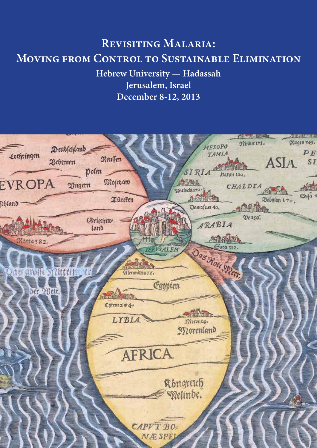## **REVISITING MALARIA:** MOVING FROM CONTROL TO SUSTAINABLE ELIMINATION

Hebrew University - Hadassah Jerusalem, Israel December 8-12, 2013

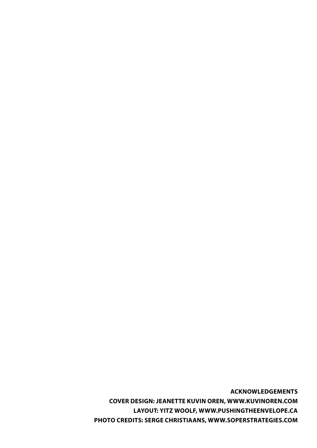**ACKNOWLEDGEMENTS COVER DESIGN: JEANETTE KUVIN OREN, WWW.KUVINOREN.COM LAYOUT: YITZ WOOLF, WWW.PUSHINGTHEENVELOPE.CA PHOTO CREDITS: SERGE CHRISTIAANS, WWW.SOPERSTRATEGIES.COM**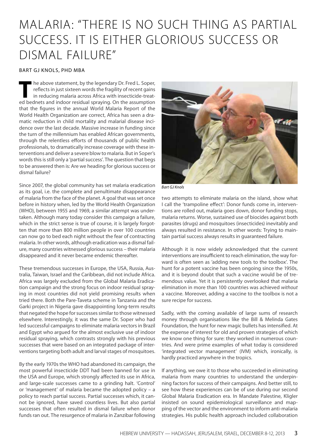# MALARIA: "THERE IS NO SUCH THING AS PARTIAL SUCCESS. IT IS EITHER GLORIOUS SUCCESS OR DISMAL FAILURE"

#### BART GJ KNOLS, PHD MBA

**T** he above statement, by the legendary Dr. Fred L. Soper, reflects in just sixteen words the fragility of recent gains in reducing malaria across Africa with insecticide-treatrefects in just sixteen words the fragility of recent gains ed bednets and indoor residual spraying. On the assumption that the fgures in the annual World Malaria Report of the World Health Organization are correct, Africa has seen a dramatic reduction in child mortality and malarial disease incidence over the last decade. Massive increase in funding since the turn of the millennium has enabled African governments, through the relentless efforts of thousands of public health professionals, to dramatically increase coverage with these interventions and deliver a severe blow to malaria. But in Soper's words this is still only a 'partial success'. The question that begs to be answered then is: Are we heading for glorious success or dismal failure?

Since 2007, the global community has set malaria eradication as its goal, i.e. the complete and penultimate disappearance of malaria from the face of the planet. A goal that was set once before in history when, led by the World Health Organization (WHO), between 1955 and 1969, a similar attempt was undertaken. Although many today consider this campaign a failure, which in the strict sense is true of course, it is largely forgotten that more than 800 million people in over 100 countries can now go to bed each night without the fear of contracting malaria. In other words, although eradication was a dismal failure, many countries witnessed glorious success – their malaria disappeared and it never became endemic thereafter.

These tremendous successes in Europe, the USA, Russia, Australia, Taiwan, Israel and the Caribbean, did not include Africa. Africa was largely excluded from the Global Malaria Eradication campaign and the strong focus on indoor residual spraying in most countries did not yield promising results when tried there. Both the Pare-Taveta scheme in Tanzania and the Garki project in Nigeria gave disappointing long-term results that negated the hope for successes similar to those witnessed elsewhere. Interestingly, it was the same Dr. Soper who had led successful campaigns to eliminate malaria vectors in Brazil and Egypt who argued for the almost exclusive use of indoor residual spraying, which contrasts strongly with his previous successes that were based on an integrated package of interventions targeting both adult and larval stages of mosquitoes.

By the early 1970s the WHO had abandoned its campaign, the most powerful insecticide DDT had been banned for use in the USA and Europe, which strongly afected its use in Africa, and large-scale successes came to a grinding halt. 'Control' or 'management' of malaria became the adopted policy – a policy to reach partial success. Partial successes which, it cannot be ignored, have saved countless lives. But also partial successes that often resulted in dismal failure when donor funds ran out. The resurgence of malaria in Zanzibar following



Bart GJ Knols

two attempts to eliminate malaria on the island, show what I call the 'trampoline effect': Donor funds come in, interventions are rolled out, malaria goes down, donor funding stops, malaria returns. Worse, sustained use of biocides against both parasites (drugs) and mosquitoes (insecticides) inevitably and always resulted in resistance. In other words: Trying to maintain partial success always results in guaranteed failure.

Although it is now widely acknowledged that the current interventions are insufficient to reach elimination, the way forward is often seen as 'adding new tools to the toolbox'. The hunt for a potent vaccine has been ongoing since the 1950s, and it is beyond doubt that such a vaccine would be of tremendous value. Yet it is persistently overlooked that malaria elimination in more than 100 countries was achieved without a vaccine. Moreover, adding a vaccine to the toolbox is not a sure recipe for success.

Sadly, with the coming available of large sums of research money through organisations like the Bill & Melinda Gates Foundation, the hunt for new magic bullets has intensifed. At the expense of interest for old and proven strategies of which we know one thing for sure: they worked in numerous countries. And were prime examples of what today is considered 'integrated vector management' (IVM) which, ironically, is hardly practiced anywhere in the tropics.

If anything, we owe it to those who succeeded in eliminating malaria from many countries to understand the underpinning factors for success of their campaigns. And better still, to see how these experiences can be of use during our second Global Malaria Eradication era. In Mandate Palestine, Kligler insisted on sound epidemiological surveillance and mapping of the vector and the environment to inform anti-malaria strategies. His public health approach included collaboration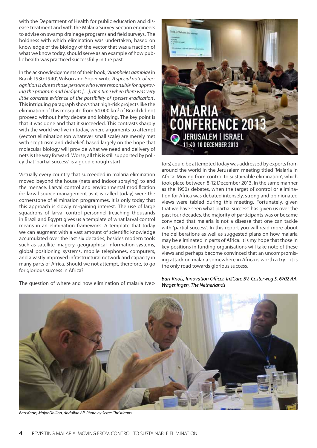with the Department of Health for public education and disease treatment and with the Malaria Survey Section engineers to advise on swamp drainage programs and feld surveys. The boldness with which elimination was undertaken, based on knowledge of the biology of the vector that was a fraction of what we know today, should serve as an example of how public health was practiced successfully in the past.

In the acknowledgements of their book, 'Anopheles gambiae in Brazil: 1930-1940', Wilson and Soper write 'A special note of recognition is due to those persons who were responsible for approving the program and budgets […], at a time when there was very little concrete evidence of the possibility of species eradication'. This intriguing paragraph shows that high-risk projects like the elimination of this mosquito from 54.000  $km<sup>2</sup>$  of Brazil did not proceed without hefty debate and lobbying. The key point is that it was done and that it succeeded. This contrasts sharply with the world we live in today, where arguments to attempt (vector) elimination (on whatever small scale) are merely met with scepticism and disbelief, based largely on the hope that molecular biology will provide what we need and delivery of nets is the way forward. Worse, all this is still supported by policy that 'partial success' is a good enough start.

Virtually every country that succeeded in malaria elimination moved beyond the house (nets and indoor spraying) to end the menace. Larval control and environmental modifcation (or larval source management as it is called today) were the cornerstone of elimination programmes. It is only today that this approach is slowly re-gaining interest. The use of large squadrons of larval control personnel (reaching thousands in Brazil and Egypt) gives us a template of what larval control means in an elimination framework. A template that today we can augment with a vast amount of scientifc knowledge accumulated over the last six decades, besides modern tools such as satellite imagery, geographical information systems, global positioning systems, mobile telephones, computers, and a vastly improved infrastructural network and capacity in many parts of Africa. Should we not attempt, therefore, to go for glorious success in Africa?

The question of where and how elimination of malaria (vec-



tors) could be attempted today was addressed by experts from around the world in the Jerusalem meeting titled 'Malaria in Africa: Moving from control to sustainable elimination', which took place between 8-12 December 2013. In the same manner as the 1950s debates, when the target of control or elimination for Africa was debated intensely, strong and opinionated views were tabled during this meeting. Fortunately, given that we have seen what 'partial success' has given us over the past four decades, the majority of participants was or became convinced that malaria is not a disease that one can tackle with 'partial success'. In this report you will read more about the deliberations as well as suggested plans on how malaria may be eliminated in parts of Africa. It is my hope that those in key positions in funding organisations will take note of these views and perhaps become convinced that an uncompromising attack on malaria somewhere in Africa is worth a try – it is the only road towards glorious success.

Bart Knols, Innovation Officer, In2Care BV, Costerweg 5, 6702 AA, Wageningen, The Netherlands



Bart Knols, Major Dhillon, Abdullah Ali. Photo by Serge Christiaans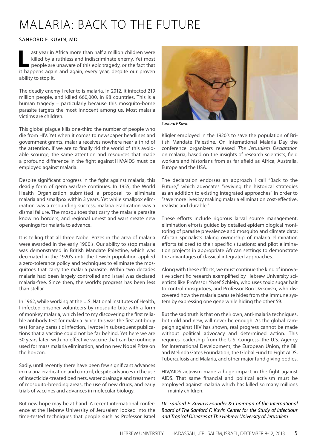## MALARIA: BACK TO THE FUTURE

### SANFORD F. KUVIN, MD

**Last year in Africa more than half a million children were**<br> **Last year in Africa and indiscriminate enemy. Yet most**<br> **Last year people are unaware of this epic tragedy, or the fact that**<br> **Last year again and again over** killed by a ruthless and indiscriminate enemy. Yet most it happens again and again, every year, despite our proven ability to stop it.

The deadly enemy I refer to is malaria. In 2012, it infected 219 million people, and killed 660,000, in 98 countries. This is a human tragedy – particularly because this mosquito-borne parasite targets the most innocent among us. Most malaria victims are children.

This global plague kills one-third the number of people who die from HIV. Yet when it comes to newspaper headlines and government grants, malaria receives nowhere near a third of the attention. If we are to fnally rid the world of this avoidable scourge, the same attention and resources that made a profound diference in the fght against HIV/AIDS must be employed against malaria.

Despite signifcant progress in the fght against malaria, this deadly form of germ warfare continues. In 1955, the World Health Organization submitted a proposal to eliminate malaria and smallpox within 3 years. Yet while smallpox elimination was a resounding success, malaria eradication was a dismal failure. The mosquitoes that carry the malaria parasite know no borders, and regional unrest and wars create new openings for malaria to advance.

It is telling that all three Nobel Prizes in the area of malaria were awarded in the early 1900's. Our ability to stop malaria was demonstrated in British Mandate Palestine, which was decimated in the 1920's until the Jewish population applied a zero-tolerance policy and techniques to eliminate the mosquitoes that carry the malaria parasite. Within two decades malaria had been largely controlled and Israel was declared malaria-free. Since then, the world's progress has been less than stellar.

In 1962, while working at the U.S. National Institutes of Health, I infected prisoner volunteers by mosquito bite with a form of monkey malaria, which led to my discovering the frst reliable antibody test for malaria. Since this was the frst antibody test for any parasitic infection, I wrote in subsequent publications that a vaccine could not be far behind. Yet here we are 50 years later, with no efective vaccine that can be routinely used for mass malaria elimination, and no new Nobel Prize on the horizon.

Sadly, until recently there have been few signifcant advances in malaria eradication and control, despite advances in the use of insecticide-treated bed nets, water drainage and treatment of mosquito-breeding areas, the use of new drugs, and early trials of vaccines and advances in molecular biology.

But new hope may be at hand. A recent international conference at the Hebrew University of Jerusalem looked into the time-tested techniques that people such as Professor Israel



Sanford F Kuvin

Kligler employed in the 1920's to save the population of British Mandate Palestine. On International Malaria Day the conference organizers released The Jerusalem Declaration on malaria, based on the insights of research scientists, feld workers and historians from as far afeld as Africa, Australia, Europe and the USA.

The declaration endorses an approach I call "Back to the Future," which advocates "reviving the historical strategies as an addition to existing integrated approaches" in order to "save more lives by making malaria elimination cost-efective, realistic and durable."

These efforts include rigorous larval source management; elimination efforts quided by detailed epidemiological monitoring of parasite prevalence and mosquito and climate data; African specialists taking ownership of malaria elimination efforts tailored to their specific situations; and pilot elimination projects in appropriate African settings to demonstrate the advantages of classical integrated approaches.

Along with these efforts, we must continue the kind of innovative scientifc research exemplifed by Hebrew University scientists like Professor Yosef Schlein, who uses toxic sugar bait to control mosquitoes, and Professor Ron Dzikovski, who discovered how the malaria parasite hides from the immune system by expressing one gene while hiding the other 59.

But the sad truth is that on their own, anti-malaria techniques, both old and new, will never be enough. As the global campaign against HIV has shown, real progress cannot be made without political advocacy and determined action. This requires leadership from the U.S. Congress, the U.S. Agency for International Development, the European Union, the Bill and Melinda Gates Foundation, the Global Fund to Fight AIDS, Tuberculosis and Malaria, and other major fund giving bodies.

HIV/AIDS activism made a huge impact in the fight against AIDS. That same fnancial and political activism must be employed against malaria which has killed so many millions — mainly children.

Dr. Sanford F. Kuvin is Founder & Chairman of the International Board of The Sanford F. Kuvin Center for the Study of Infectious and Tropical Diseases at The Hebrew University of Jerusalem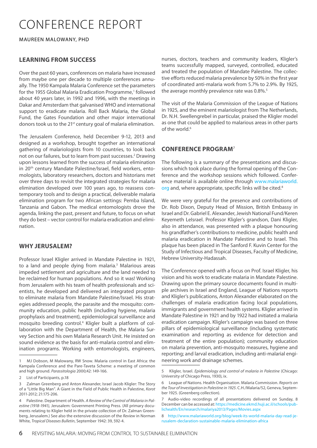## CONFERENCE REPORT

MAUREEN MALOWANY, PHD

## **LEARNING FROM SUCCESS**

Over the past 60 years, conferences on malaria have increased from maybe one per decade to multiple conferences annually. The 1950 Kampala Malaria Conference set the parameters for the 1955 Global Malaria Eradication Programme,<sup>1</sup> followed about 40 years later, in 1992 and 1996, with the meetings in Dakar and Amsterdam that galvanised WHO and international support to eradicate malaria. Roll Back Malaria, the Global Fund, the Gates Foundation and other major international donors took us to the 21st century goal of malaria elimination.

The Jerusalem Conference, held December 9-12, 2013 and designed as a workshop, brought together an international gathering of malariologists from 10 countries, to look back not on our failures, but to learn from past successes.<sup>2</sup> Drawing upon lessons learned from the success of malaria elimination in 20<sup>th</sup> century Mandate Palestine/Israel, field workers, entomologists, laboratory researchers, doctors and historians met over three days to revisit the integrated strategies for malaria elimination developed over 100 years ago, to reassess contemporary tools and to design a practical, deliverable malaria elimination program for two African settings: Pemba Island, Tanzania and Gabon. The medical entomologists drove the agenda, linking the past, present and future, to focus on what they do best – vector control for malaria eradication and elimination.

## **WHY JERUSALEM?**

Professor Israel Kligler arrived in Mandate Palestine in 1921, to a land and people dying from malaria.<sup>3</sup> Malarious areas impeded settlement and agriculture and the land needed to be reclaimed for human populations. And so it was! Working from Jerusalem with his team of health professionals and scientists, he developed and delivered an integrated program to eliminate malaria from Mandate Palestine/Israel. His strategies addressed people, the parasite and the mosquito: community education, public health (including hygiene, malaria prophylaxis and treatment), epidemiological surveillance and mosquito breeding control.4 Kligler built a platform of collaboration with the Department of Health, the Malaria Survey Section and his own Malaria Research Unit. He insisted on sound evidence as the basis for anti-malaria control and elimination programs. Working with entomologists, engineers, nurses, doctors, teachers and community leaders, Kligler's teams successfully mapped, surveyed, controlled, educated and treated the population of Mandate Palestine. The collective efforts reduced malaria prevalence by 50% in the first year of coordinated anti-malaria work from 5.7% to 2.9%. By 1925, the average monthly prevalence rate was 0.8%.<sup>5</sup>

The visit of the Malaria Commission of the League of Nations in 1925, and the eminent malariologist from The Netherlands, Dr. N.H. Swellengrebel in particular, praised the Kligler model as one that could be applied to malarious areas in other parts of the world.<sup>6</sup>

## **CONFERENCE PROGRAM**<sup>7</sup>

The following is a summary of the presentations and discussions which took place during the formal opening of the Conference and the workshop sessions which followed. Conference material is available online through www.malariaworld. org and, where appropriate, specific links will be cited.<sup>8</sup>

We were very grateful for the presence and contributions of Dr. Rob Dixon, Deputy Head of Mission, British Embassy in Israel and Dr. Gabriel E. Alexander, Jewish National Fund/Keren Keyemeth LeIsrael. Professor Kligler's grandson, Dani Kligler, also in attendance, was presented with a plaque honouring his grandfather's contributions to medicine, public health and malaria eradication in Mandate Palestine and to Israel. This plaque has been placed in The Sanford F. Kuvin Center for the Study of Infectious and Tropical Diseases, Faculty of Medicine, Hebrew University-Hadassah.

The Conference opened with a focus on Prof. Israel Kligler, his vision and his work to eradicate malaria in Mandate Palestine. Drawing upon the primary source documents found in multiple archives in Israel and England, League of Nations reports and Kligler's publications, Anton Alexander elaborated on the challenges of malaria eradication facing local populations, immigrants and government health systems. Kligler arrived in Mandate Palestine in 1921 and by 1922 had initiated a malaria eradication campaign. Kligler's campaign was based on three pillars of epidemiological surveillance (including systematic examination and reporting as evidence for detection and treatment of the entire population); community education on malaria prevention, anti-mosquito measures, hygiene and reporting; and larval eradication, including anti-malarial engineering work and drainage schemes.

<sup>1</sup> MJ Dobson, M Malowany, RW Snow. Malaria control in East Africa: the Kampala Conference and the Pare-Taveta Scheme: a meeting of common and high ground. Parassitologia 2000;42: 149-166.

<sup>2</sup> List of Participants, p.18

<sup>3</sup> Zalman Greenberg and Anton Alexander, Israel Jacob Kligler: The Story of a "Little Big Man". A Giant in the Field of Public Health in Palestine, Korot 2011-2012; 21:175-206.

<sup>4</sup> Palestine. Department of Health. A Review of the Control of Malaria in Palestine (1918-1941), Jerusalem: Government Printing Press. (All primary documents relating to Kligler held in the private collection of Dr. Zalman Greenberg, Jerusalem.) See also the extensive discussion of the Review in Norman White, Tropical Diseases Bulletin, September 1942: 39, 592-4.

<sup>5</sup> Kligler, Israel. Epidemiology and control of malaria in Palestine (Chicago: University of Chicago Press, 1930), ix.

<sup>6</sup> League of Nations. Health Organisation. Malaria Commission. Reports on the Tour of Investigation in Palestine in 1925. C.H./Malaria/52, Geneva, September 1925. (Greenberg collection).

<sup>7</sup> Audio-video recordings of all presentations delivered on Sunday, 8 December can be accessed at: https://medicine.ekmd.huji.ac.il/schools/publichealth/En/research/malariya2013/Pages/Movies.aspx

<sup>8</sup> http://www.malariaworld.org/blog/week-its-world-malaria-day-read-jerusalem-declaration-sustainable-malaria-elimination-africa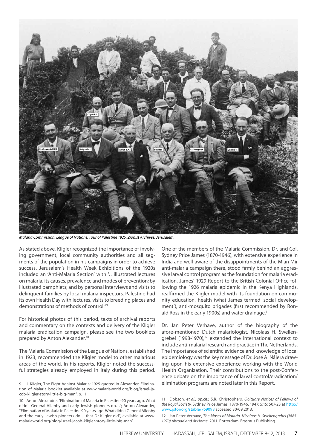

Malaria Commission, League of Nations, Tour of Palestine 1925. Zionist Archives, Jerusalem.

As stated above, Kligler recognized the importance of involving government, local community authorities and all segments of the population in his campaigns in order to achieve success. Jerusalem's Health Week Exhibitions of the 1920s included an 'Anti-Malaria Section' with '…illustrated lectures on malaria, its causes, prevalence and modes of prevention; by illustrated pamphlets; and by personal interviews and visits to delinquent families by local malaria inspectors. Palestine had its own Health Day with lectures, visits to breeding places and demonstrations of methods of control."9

For historical photos of this period, texts of archival reports and commentary on the contexts and delivery of the Kligler malaria eradication campaign, please see the two booklets prepared by Anton Alexander.<sup>10</sup>

The Malaria Commission of the League of Nations, established in 1923, recommended the Kligler model to other malarious areas of the world. In his reports, Kligler noted the successful strategies already employed in Italy during this period. One of the members of the Malaria Commission, Dr. and Col. Sydney Price James (1870-1946), with extensive experience in India and well-aware of the disappointments of the Mian Mir anti-malaria campaign there, stood frmly behind an aggressive larval control program as the foundation for malaria eradication. James' 1929 Report to the British Colonial Office following the 1926 malaria epidemic in the Kenya Highlands, reaffirmed the Kligler model with its foundation on community education, health (what James termed 'social development'), anti-mosquito brigades (frst recommended by Ronald Ross in the early 1900s) and water drainage.<sup>11</sup>

Dr. Jan Peter Verhave, author of the biography of the afore-mentioned Dutch malariologist, Nicolaas H. Swellengrebel (1998-1970),<sup>12</sup> extended the international context to include anti-malarial research and practice in The Netherlands. The importance of scientifc evidence and knowledge of local epidemiology was the key message of Dr. José A. Nájera drawing upon his extensive experience working with the World Health Organization. Their contributions to the post-Conference debate on the importance of larval control/eradication/ elimination programs are noted later in this Report.

<sup>9</sup> I. Kligler, The Fight Against Malaria; 1925 quoted in Alexander, Elimination of Malaria booklet available at www.malariaworld.org/blog/israel-jacob-kligler-story-little-big-man", p. 11

<sup>10</sup> Anton Alexander, "Elimination of Malaria in Palestine 90 years ago. What didn't General Allenby and early Jewish pioneers do…"; Anton Alexander, "Elimination of Malaria in Palestine 90 years ago. What didn't General Allenby and the early Jewish pioneers do… that Dr Kligler did", available at www. malariaworld.org/blog/israel-jacob-kligler-story-little-big-man"

<sup>11</sup> Dobson, et al., op.cit.; S.R. Christophers, Obituary Notices of Fellows of the Royal Society, Sydney Price James, 1870-1946, 1947: 5:15; 507-23 at http:// www.jstor/org/stable/769098 accessed 30/09.2013.

<sup>12</sup> Jan Peter Verhave, The Moses of Malaria. Nicolaas H. Swellengrebel (1885-1970) Abroad and At Home. 2011. Rotterdam: Erasmus Publishing.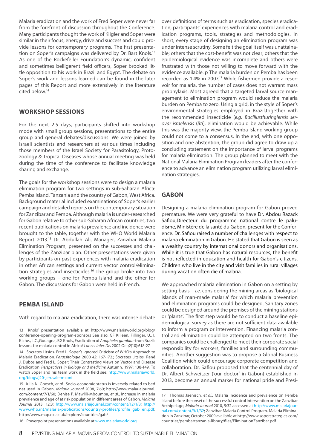Malaria eradication and the work of Fred Soper were never far from the forefront of discussion throughout the Conference. Many participants thought the work of Kligler and Soper were similar in their focus, energy, drive and success and could provide lessons for contemporary programs. The frst presentation on Soper's campaigns was delivered by Dr. Bart Knols.<sup>13</sup> As one of the Rockefeller Foundation's dynamic, confdent and sometimes belligerent field officers, Soper brooked little opposition to his work in Brazil and Egypt. The debate on Soper's work and lessons learned can be found in the later pages of this Report and more extensively in the literature cited below.14

## **WORKSHOP SESSIONS**

For the next 2.5 days, participants shifted into workshop mode with small group sessions, presentations to the entire group and general debates/discussions. We were joined by Israeli scientists and researchers at various times including those members of the Israel Society for Parasitology, Protozoology & Tropical Diseases whose annual meeting was held during the time of the conference to facilitate knowledge sharing and exchange.

The goals for the workshop sessions were to design a malaria elimination program for two settings in sub-Saharan Africa: Pemba Island, Tanzania and the country of Gabon, West Africa. Background material included examinations of Soper's earlier campaign and detailed reports on the contemporary situation for Zanzibar and Pemba. Although malaria is under-researched for Gabon relative to other sub-Saharan African countries, two recent publications on malaria prevalence and incidence were brought to the table, together with the WHO World Malaria Report 2013.15 Dr. Abdullah Ali, Manager, Zanzibar Malaria Elimination Program, presented on the successes and challenges of the Zanzibar plan. Other presentations were given by participants on past experiences with malaria eradication in other African settings and current vector control/elimination strategies and insecticides.16 The group broke into two working groups – one for Pemba Island and the other for Gabon. The discussions for Gabon were held in French.

## **PEMBA ISLAND**

With regard to malaria eradication, there was intense debate

over defnitions of terms such as eradication, species eradication, participants' experiences with malaria control and eradication programs, tools, strategies and methodologies. In short, every stage of designing an elimination program was under intense scrutiny. Some felt the goal itself was unattainable; others that the cost-beneft was not clear; others that the epidemiological evidence was incomplete and others were frustrated with those not willing to move forward with the evidence available. p The malaria burden on Pemba has been recorded as 1.4% in 2007.<sup>17</sup> While fishermen provide a reservoir for malaria, the number of cases does not warrant mass prophylaxis. Most agreed that a targeted larval source management to elimination program would reduce the malaria burden on Pemba to zero. Using a grid, in the style of Soper's environmental strategies employed in Brazil,together with the recommended insecticide (e.g. Bacillusthuringiensis serovar israelensis (Bti), elimination would be achievable. While this was the majority view, the Pemba Island working group could not come to a consensus. In the end, with one opposition and one abstention, the group did agree to draw up a concluding statement on the importance of larval programs for malaria elimination. The group planned to meet with the National Malaria Elimination Program leaders after the conference to advance an elimination program utilizing larval elimination strategies.

## **GABON**

Designing a malaria elimination program for Gabon proved premature. We were very grateful to have Dr. Abdou Razack Safou,Directeur du programme national contre le paludisme, Ministère de la santé du Gabon, present for the Conference. Dr. Safou raised a number of challenges with respect to malaria elimination in Gabon. He stated that Gabon is seen as a wealthy country by international donors and organisations. While it is true that Gabon has natural resources, the beneft is not refected in education and health for Gabon's citizens. Children who live in the city and visit families in rural villages during vacation often die of malaria.

We approached malaria elimination in Gabon on a setting by setting basis – *i.e.* considering the mining areas as 'biological islands of man-made malaria' for which malaria prevention and elimination programs could be designed. Sanitary zones could be designed around the premises of the mining stations or 'plants'. The frst step would be to conduct a baseline epidemiological survey as there are not sufficient data available to inform a program or intervention. Financing malaria control and elimination could be attempted on two fronts. The companies could be challenged to meet their corporate social responsibility for workers, families and surrounding communities. Another suggestion was to propose a Global Business Coalition which could encourage corporate competition and collaboration. Dr. Safou proposed that the centennial day of Dr. Albert Schweitzer ('our doctor' in Gabon) established in 2013, become an annual marker for national pride and Presi-

<sup>13</sup> Knols' presentation available at http://www.malariaworld.org/blog/ conference-opening-program-sponsors See also: GF Killeen, Fillinger, U., I. Kiche., L.C.,Gouagna, BG Knols, Eradication of Anopheles gambiae from Brazil: lessons for malaria control in Africa? Lancet Infec Dis 2002 Oct;2(10):618-27.

<sup>14</sup> Socrates Litsios**.** Fred L. Soper's Ignored Criticism of WHO's Approach to Malaria Eradication. Parassitologia 2000 42: 167-172.; Socrates Litsios, René J. Dubos and Fred L. Soper: Their Contrasting Views on Vector and Disease Eradication. Perspectives in Biology and Medicine Autumn. 1997: 138-149. To watch Soper and his team work in the feld see: http://www.malariaworld. org/blogs/j20-jerusalem-conf

<sup>15</sup> Julia N. Goesch, et al., Socio-economic status is inversely related to bed net used in Gabon, Malaria Journal 2008, 7:60; http://www.malariajournal. com/content/7/1/60; Denise P. Mawlili-Mboumba, et al., Increase in malaria prevalence and age of at risk population in diferent areas of Gabon, Malaria Journal 2013, 12:3; http://www.malariajournal.com/content/12/1/3; http:// www.who.int/malaria/publications/country-profles/profle\_gab\_en.pdf; http://www.map.ox.ac.uk/explore/countries/gab/

<sup>16</sup> Powerpoint presentations available at www.malariaworld.org

<sup>17</sup> Thomas Jaenisch, et al., Malaria incidence and prevalence on Pemba Island before the onset of the successful control intervention on the Zanzibar Archipelago, Malaria Journal 2010, 9:32 accessed at http://www.malariajournal.com/content/9/1/32; Zanzibar Malaria Control Program. Malaria Elimination in Zanzibar, October 2009 available at http://www.soperstrategies.com/ countries/pemba/tanzania-library/fles/EliminationZanzibar.pdf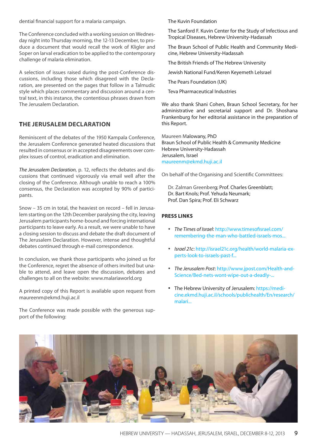dential fnancial support for a malaria campaign.

The Conference concluded with a working session on Wednesday night into Thursday morning, the 12-13 December, to produce a document that would recall the work of Kligler and Soper on larval eradication to be applied to the contemporary challenge of malaria elimination.

A selection of issues raised during the post-Conference discussions, including those which disagreed with the Declaration, are presented on the pages that follow in a Talmudic style which places commentary and discussion around a central text, in this instance, the contentious phrases drawn from The Jerusalem Declaration.

## **THE JERUSALEM DECLARATION**

Reminiscent of the debates of the 1950 Kampala Conference, the Jerusalem Conference generated heated discussions that resulted in consensus or in accepted disagreements over complex issues of control, eradication and elimination.

The Jerusalem Declaration, p. 12, reflects the debates and discussions that continued vigorously via email well after the closing of the Conference. Although unable to reach a 100% consensus, the Declaration was accepted by 90% of participants.

Snow – 35 cm in total, the heaviest on record – fell in Jerusalem starting on the 12th December paralysing the city, leaving Jerusalem participants home-bound and forcing international participants to leave early. As a result, we were unable to have a closing session to discuss and debate the draft document of The Jerusalem Declaration. However, intense and thoughtful debates continued through e-mail correspondence.

In conclusion, we thank those participants who joined us for the Conference, regret the absence of others invited but unable to attend, and leave open the discussion, debates and challenges to all on the website: www.malariaworld.org

A printed copy of this Report is available upon request from maureenm@ekmd.huji.ac.il

The Conference was made possible with the generous support of the following:

The Kuvin Foundation

The Sanford F. Kuvin Center for the Study of Infectious and Tropical Diseases, Hebrew University-Hadassah

The Braun School of Public Health and Community Medicine, Hebrew University-Hadassah

The British Friends of The Hebrew University

Jewish National Fund/Keren Keyemeth LeIsrael

The Pears Foundation (UK)

Teva Pharmaceutical Industries

We also thank Shani Cohen, Braun School Secretary, for her administrative and secretarial support and Dr. Shoshana Frankenburg for her editorial assistance in the preparation of this Report.

Maureen Malowany, PhD Braun School of Public Health & Community Medicine Hebrew University-Hadassah Jerusalem, Israel maureenm@ekmd.huji.ac.il

On behalf of the Organising and Scientifc Committees:

Dr. Zalman Greenberg; Prof. Charles Greenblatt; Dr. Bart Knols; Prof. Yehuda Neumark; Prof. Dan Spira; Prof. Eli Schwarz

## **PRESS LINKS**

- The Times of Israel: http://www.timesofisrael.com/ remembering-the-man-who-battled-israels-mos...
- % Israel 21c: http://israel21c.org/health/world-malaria-experts-look-to-israels-past-f...
- % The Jerusalem Post: http://www.jpost.com/Health-and-Science/Bed-nets-wont-wipe-out-a-deadly-...
- The Hebrew University of Jerusalem: https://medicine.ekmd.huji.ac.il/schools/publichealth/En/research/ malari...

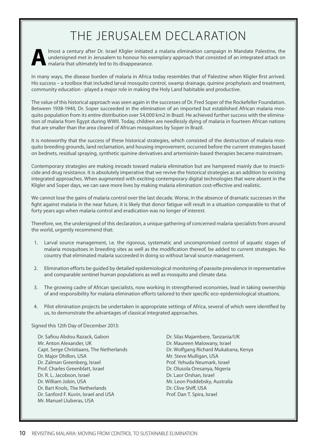## THE JERUSALEM DECLARATION

**A**lmost a century after Dr. Israel Kligler initiated a malaria elimination campaign in Mandate Palestine, the undersigned met in Jerusalem to honour his exemplary approach that consisted of an integrated attack on malaria that ultimately led to its disappearance.

In many ways, the disease burden of malaria in Africa today resembles that of Palestine when Kligler frst arrived. His success – a toolbox that included larval mosquito control, swamp drainage, quinine prophylaxis and treatment, community education - played a major role in making the Holy Land habitable and productive.

The value of this historical approach was seen again in the successes of Dr. Fred Soper of the Rockefeller Foundation. Between 1938-1940, Dr. Soper succeeded in the elimination of an imported but established African malaria mosquito population from its entire distribution over 54,000 km2 in Brazil. He achieved further success with the elimination of malaria from Egypt during WWII. Today, children are needlessly dying of malaria in fourteen African nations that are smaller than the area cleared of African mosquitoes by Soper in Brazil.

It is noteworthy that the success of these historical strategies, which consisted of the destruction of malaria mosquito breeding grounds, land reclamation, and housing improvement, occurred before the current strategies based on bednets, residual spraying, synthetic quinine derivatives and artemisinin-based therapies became mainstream.

Contemporary strategies are making inroads toward malaria elimination but are hampered mainly due to insecticide and drug resistance. It is absolutely imperative that we revive the historical strategies as an addition to existing integrated approaches. When augmented with exciting contemporary digital technologies that were absent in the Kligler and Soper days, we can save more lives by making malaria elimination cost-efective and realistic.

We cannot lose the gains of malaria control over the last decade. Worse, in the absence of dramatic successes in the fght against malaria in the near future, it is likely that donor fatigue will result in a situation comparable to that of forty years ago when malaria control and eradication was no longer of interest.

Therefore, we, the undersigned of this declaration, a unique gathering of concerned malaria specialists from around the world, urgently recommend that:

- 1. Larval source management, i.e. the rigorous, systematic and uncompromised control of aquatic stages of malaria mosquitoes in breeding sites as well as the modifcation thereof, be added to current strategies. No country that eliminated malaria succeeded in doing so without larval source management.
- 2. Elimination eforts be guided by detailed epidemiological monitoring of parasite prevalence in representative and comparable sentinel human populations as well as mosquito and climate data.
- 3. The growing cadre of African specialists, now working in strengthened economies, lead in taking ownership of and responsibility for malaria elimination eforts tailored to their specifc eco-epidemiological situations.
- 4. Pilot elimination projects be undertaken in appropriate settings of Africa, several of which were identifed by us, to demonstrate the advantages of classical integrated approaches.

Signed this 12th Day of December 2013:

Dr. Safou Abdou Razack, Gabon Mr. Anton Alexander, UK Capt. Serge Christiaans, The Netherlands Dr. Major Dhillon, USA Dr. Zalman Greenberg, Israel Prof. Charles Greenblatt, Israel Dr. R. L. Jacobson, Israel Dr. William Jobin, USA Dr. Bart Knols, The Netherlands Dr. Sanford F. Kuvin, Israel and USA Mr. Manuel Lluberas, USA

Dr. Silas Majambere, Tanzania/UK Dr. Maureen Malowany, Israel Dr. Wolfgang Richard Mukabana, Kenya Mr. Steve Mulligan, USA Prof. Yehuda Neumark, Israel Dr. Olusola Oresanya, Nigeria Dr. Laor Orshan, Israel Mr. Leon Poddebsky, Australia Dr. Clive Shif, USA Prof. Dan T. Spira, Israel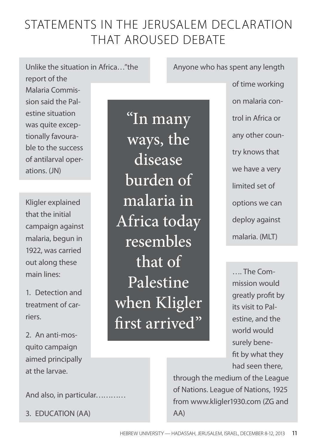Unlike the situation in Africa…"the report of the Malaria Commission said the Palestine situation was quite exceptionally favourable to the success of antilarval operations. (JN)

Kligler explained that the initial campaign against malaria, begun in 1922, was carried out along these main lines:

1. Detection and treatment of carriers.

2. An anti-mosquito campaign aimed principally at the larvae.

And also, in particular…………

3. EDUCATION (AA)

"In many ways, the disease burden of malaria in Africa today resembles that of Palestine when Kligler first arrived"

of time working on malaria control in Africa or any other country knows that we have a very limited set of options we can deploy against malaria. (MLT)

Anyone who has spent any length

…. The Commission would greatly proft by its visit to Palestine, and the world would surely benefit by what they had seen there,

through the medium of the League of Nations. League of Nations, 1925 from www.kligler1930.com (ZG and AA)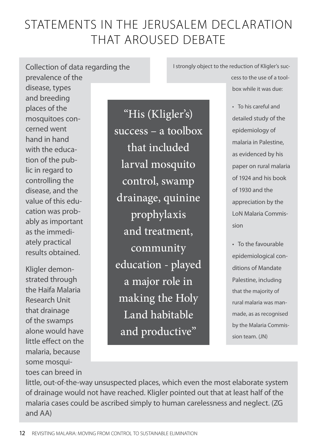Collection of data regarding the

prevalence of the disease, types and breeding places of the mosquitoes concerned went hand in hand with the education of the public in regard to controlling the disease, and the value of this education was probably as important as the immediately practical results obtained.

Kligler demonstrated through the Haifa Malaria Research Unit that drainage of the swamps alone would have little effect on the malaria, because some mosquitoes can breed in

"His (Kligler's) success – a toolbox that included larval mosquito control, swamp drainage, quinine prophylaxis and treatment, community education - played a major role in making the Holy Land habitable and productive"

I strongly object to the reduction of Kligler's success to the use of a toolbox while it was due:

> $\cdot$  To his careful and detailed study of the epidemiology of malaria in Palestine, as evidenced by his paper on rural malaria of 1924 and his book of 1930 and the appreciation by the LoN Malaria Commission

 $\cdot$  To the favourable epidemiological conditions of Mandate Palestine, including that the majority of rural malaria was manmade, as as recognised by the Malaria Commission team. (JN)

little, out-of-the-way unsuspected places, which even the most elaborate system of drainage would not have reached. Kligler pointed out that at least half of the malaria cases could be ascribed simply to human carelessness and neglect. (ZG and AA)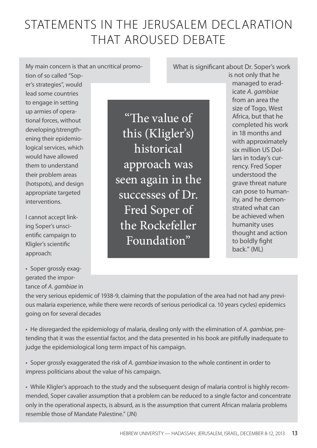My main concern is that an uncritical promo-

tion of so called "Soper's strategies", would lead some countries to engage in setting up armies of operational forces, without developing/strengthening their epidemiological services, which would have allowed them to understand their problem areas (hotspots), and design appropriate targeted interventions.

I cannot accept linking Soper's unscientifc campaign to Kligler's scientifc approach:

• Soper grossly exaggerated the importance of A. gambiae in

"The value of this (Kligler's) historical approach was seen again in the successes of Dr. Fred Soper of the Rockefeller Foundation"

What is signifcant about Dr. Soper's work is not only that he

managed to eradicate A. gambiae from an area the size of Togo, West Africa, but that he completed his work in 18 months and with approximately six million US Dollars in today's currency. Fred Soper understood the grave threat nature can pose to humanity, and he demonstrated what can be achieved when humanity uses thought and action to boldly fight back." (ML)

the very serious epidemic of 1938-9, claiming that the population of the area had not had any previous malaria experience, while there were records of serious periodical ca. 10 years cycles) epidemics going on for several decades

• He disregarded the epidemiology of malaria, dealing only with the elimination of A. *gambiae*, pretending that it was the essential factor, and the data presented in his book are pitifully inadequate to judge the epidemiological long term impact of his campaign.

• Soper grossly exaggerated the risk of A. gambiae invasion to the whole continent in order to impress politicians about the value of his campaign.

• While Kligler's approach to the study and the subsequent design of malaria control is highly recommended, Soper cavalier assumption that a problem can be reduced to a single factor and concentrate only in the operational aspects, is absurd, as is the assumption that current African malaria problems resemble those of Mandate Palestine." (JN)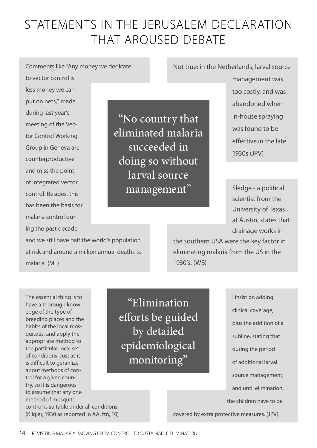Comments like "Any money we dedicate

to vector control is less money we can put on nets," made during last year's meeting of the Vector Control Working Group in Geneva are counterproductive and miss the point of integrated vector control. Besides, this has been the basis for malaria control during the past decade

"No country that eliminated malaria succeeded in doing so without larval source management"

Not true: in the Netherlands, larval source

management was too costly, and was abandoned when in-house spraying was found to be effective in the late 1930s (JPV)

Sledge - a political scientist from the University of Texas at Austin, states that drainage works in

and we still have half the world's population at risk and around a million annual deaths to malaria (ML)

the southern USA were the key factor in eliminating malaria from the US in the 1930's. (WB)

The essential thing is to have a thorough knowledge of the type of breeding places and the habits of the local mosquitoes, and apply the appropriate method to the particular local set about methods of control for a given country, so it is dangerous to assume that any one method of mosquito control is suitable under all conditions. (Kligler, 1930 as reported in AA, ftn, 10)

"Elimination efforts be guided by detailed epidemiological monitoring"

I insist on adding clinical coverage, plus the addition of a subline, stating that during the period of additional larval source management, and until elimination, the children have to be

covered by extra protective measures. (JPV)

of conditions. Just as it is difficult to geranlize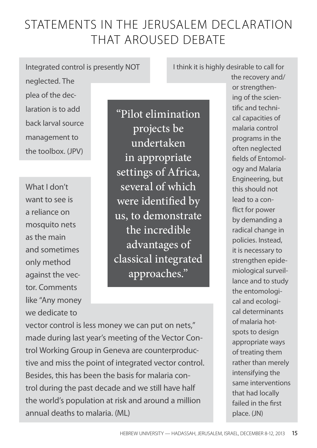Integrated control is presently NOT

I think it is highly desirable to call for

neglected. The plea of the declaration is to add back larval source management to the toolbox. (JPV)

What I don't want to see is a reliance on mosquito nets as the main and sometimes only method against the vector. Comments like "Any money we dedicate to

"Pilot elimination projects be undertaken in appropriate settings of Africa, several of which were identifed by us, to demonstrate the incredible advantages of classical integrated approaches."

vector control is less money we can put on nets," made during last year's meeting of the Vector Control Working Group in Geneva are counterproductive and miss the point of integrated vector control. Besides, this has been the basis for malaria control during the past decade and we still have half the world's population at risk and around a million annual deaths to malaria. (ML)

the recovery and/ or strengthening of the scientifc and technical capacities of malaria control programs in the often neglected felds of Entomology and Malaria Engineering, but this should not lead to a confict for power by demanding a radical change in policies. Instead, it is necessary to strengthen epidemiological surveillance and to study the entomological and ecological determinants of malaria hotspots to design appropriate ways of treating them rather than merely intensifying the same interventions that had locally failed in the first place. (JN)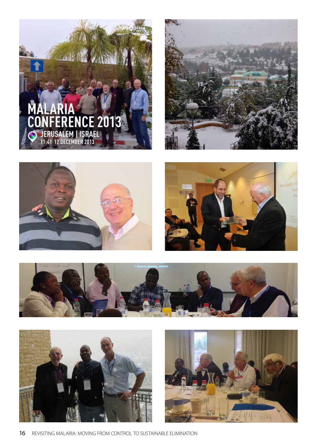











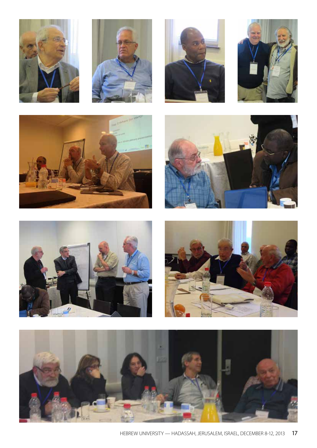















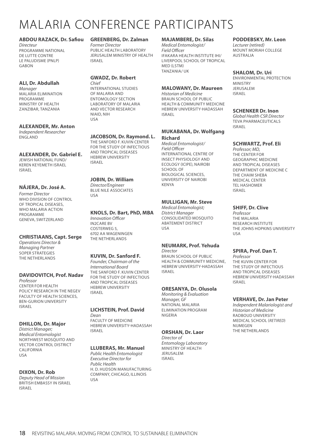# MALARIA CONFERENCE PARTICIPANTS

### **ABDOU RAZACK, Dr. Safou**

Directeur PROGRAMME NATIONAL DE LUTTE CONTRE LE PALUDISME (PNLP) GABON

## **ALI, Dr. Abdullah**

Manager MALARIA ELIMINATION PROGRAMME MINISTRY OF HEALTH ZANZIBAR, TANZANIA

## **ALEXANDER, Mr. Anton**

Independent Researcher ENGLAND

## **ALEXANDER, Dr. Gabriel E.**

JEWISH NATIONAL FUND/ KEREN KEYEMETH ISRAEL ISRAEL

## **NÁJERA, Dr. José A.**

Former Director WHO DIVISION OF CONTROL OF TROPICAL DISEASES, WHO MALARIA ACTION PROGRAMME GENEVA, SWITZERLAND

## **CHRISTIAANS, Capt. Serge**

Operations Director & Managing Partner SOPER STRATEGIES THE NETHERLANDS

## **DAVIDOVITCH, Prof. Nadav**

Professor CENTER FOR HEALTH POLICY RESEARCH IN THE NEGEV FACULTY OF HEALTH SCIENCES. BEN-GURION UNIVERSITY ISRAEL

#### **DHILLON, Dr. Major**

District Manager; Medical Entomologist NORTHWEST MOSQUITO AND VECTOR CONTROL DISTRICT CALIFORNIA USA

## **DIXON, Dr. Rob**

Deputy Head of Mission BRITISH EMBASSY IN ISRAEL ISRAEL

#### **GREENBERG, Dr. Zalman**

Former Director PUBLIC HEALTH LABORATORY JERUSALEM MINISTRY OF HEALTH ISRAEL

#### **GWADZ, Dr. Robert** Chief

INTERNATIONAL STUDIES OF MALARIA AND ENTOMOLOGY SECTION LABORATORY OF MALARIA AND VECTOR RESEARCH NIAID, NIH USA

#### **JACOBSON, Dr. Raymond. L.** THE SANFORD F. KUVIN CENTER FOR THE STUDY OF INFECTIOUS AND TROPICAL DISEASES HEBREW UNIVERSITY ISRAEL

**JOBIN, Dr. William** Director/Engineer BLUE NILE ASSOCIATES

USA

#### **KNOLS, Dr. Bart, PhD, MBA Innovation Officer** IN2CARE BV COSTERWEG 5, 6702 AA WAGENINGEN THE NETHERLANDS

## **KUVIN, Dr. Sanford F.**

Founder, Chairman of the International Board THE SANFORD F. KUVIN CENTER FOR THE STUDY OF INFECTIOUS AND TROPICAL DISEASES HEBREW UNIVERSITY ISRAEL

## **LICHSTEIN, Prof. David**

Dean FACULTY OF MEDICINE HEBREW UNIVERSITY-HADASSAH ISRAEL

## **LLUBERAS, Mr. Manuel**

Public Health Entomologist Executive Director for Public Health H. D. HUDSON MANUFACTURING COMPANY, CHICAGO, ILLINOIS USA

#### **MAJAMBERE, Dr. Silas**

Medical Entomologist/ Field Officer IFAKARA HEALTH INSTITUTE IHI/ LIVERPOOL SCHOOL OF TROPICAL MED (LSTM) TANZANIA/ UK

### **MALOWANY, Dr. Maureen**

Historian of Medicine BRAUN SCHOOL OF PUBLIC HEALTH & COMMUNITY MEDICINE HEBREW UNIVERSITY-HADASSAH ISRAEL

#### **MUKABANA, Dr. Wolfgang Richard**

Medical Entomologist/ Field Officer INTERNATIONAL CENTRE OF INSECT PHYSIOLOGY AND ECOLOGY (ICIPE), NAIROBI SCHOOL OF BIOLOGICAL SCIENCES, UNIVERSITY OF NAIROBI KENYA

## **MULLIGAN, Mr. Steve**

Medical Entomologist; District Manager CONSOLIDATED MOSQUITO ABATEMENT DISTRICT USA

## **NEUMARK, Prof. Yehuda**

Director BRAUN SCHOOL OF PUBLIC HEALTH & COMMUNITY MEDICINE, HEBREW UNIVERSITY-HADASSAH ISRAEL

## **ORESANYA, Dr. Olusola**

Monitoring & Evaluation Manager, GF NATIONAL MALARIA ELIMINATION PROGRAM NIGERIA

## **ORSHAN, Dr. Laor**

Director of Entomology Laboratory MINISTRY OF HEALTH JERUSALEM ISRAEL

## **PODDEBSKY, Mr. Leon**

Lecturer (retired) MOUNT MORIAH COLLEGE AUSTRALIA

#### **SHALOM, Dr. Uri**

ENVIRONMENTAL PROTECTION MINISTRY JERUSALEM ISRAEL

#### **SCHENKER Dr. Inon**

Global Health CSR Director TEVA PHARMACEUTICALS ISRAEL

### **SCHWARTZ, Prof. Eli**

Professor; MD, THE CENTER FOR GEOGRAPHIC MEDICINE AND TROPICAL DISEASES DEPARTMENT OF MEDICINE C THE CHAIM SHEBA MEDICAL CENTER TEL HASHOMER ISRAEL

## **SHIFF, Dr. Clive**

Professor THE MALARIA RESEARCH INSTITUTE THE JOHNS HOPKINS UNIVERSITY  $IISA$ 

#### **SPIRA, Prof. Dan T.** Professor

THE KUVIN CENTER FOR THE STUDY OF INFECTIOUS AND TROPICAL DISEASES HEBREW UNIVERSITY-HADASSAH ISRAEL

#### **VERHAVE, Dr. Jan Peter**

Independent Malariologist and Historian of Medicine RADBOUD UNIVERSITY MEDICAL SCHOOL (RETIRED) NIJMEGEN THE NETHERLANDS